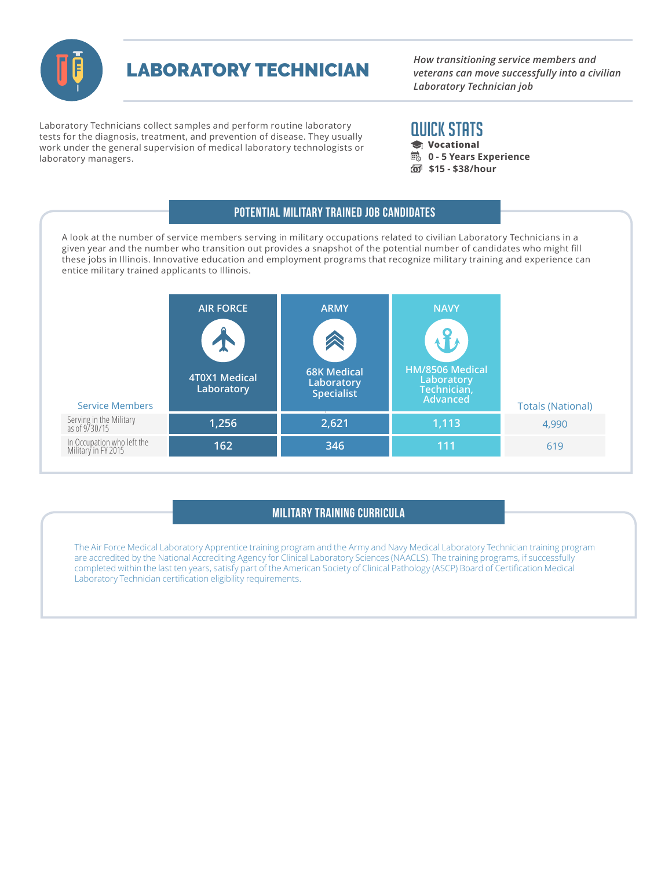

LABORATORY TECHNICIAN

*How transitioning service members and veterans can move successfully into a civilian Laboratory Technician job*

Laboratory Technicians collect samples and perform routine laboratory tests for the diagnosis, treatment, and prevention of disease. They usually work under the general supervision of medical laboratory technologists or laboratory managers.

# QUICK STATS

- **Vocational**
- **B** 0 5 Years Experience
- **\$15 \$38/hour**

### A look at the number of service members serving in military occupations related to civilian Laboratory Technicians in a given year and the number who transition out provides a snapshot of the potential number of candidates who might fill these jobs in Illinois. Innovative education and employment programs that recognize military training and experience can entice military trained applicants to Illinois. Potential Military Trained Job Candidates

| <b>Service Members</b>                            | <b>AIR FORCE</b><br>$\bullet$<br>$\mathbf{T}$<br><b>4T0X1 Medical</b><br>Laboratory | <b>ARMY</b><br><b>68K Medical</b><br>Laboratory<br>Specialist | <b>NAVY</b><br>HM/8506 Medical<br>Laboratory<br>Technician,<br>Advanced | <b>Totals (National)</b> |
|---------------------------------------------------|-------------------------------------------------------------------------------------|---------------------------------------------------------------|-------------------------------------------------------------------------|--------------------------|
| Serving in the Military<br>as of 9/30/15          | 1,256                                                                               | 2,621                                                         | 1,113                                                                   | 4,990                    |
| In Occupation who left the<br>Military in FY 2015 | 162                                                                                 | 346                                                           | 111                                                                     | 619                      |

## Military Training Curricula

The Air Force Medical Laboratory Apprentice training program and the Army and Navy Medical Laboratory Technician training program are accredited by the National Accrediting Agency for Clinical Laboratory Sciences (NAACLS). The training programs, if successfully completed within the last ten years, satisfy part of the American Society of Clinical Pathology (ASCP) Board of Certification Medical Laboratory Technician certification eligibility requirements.